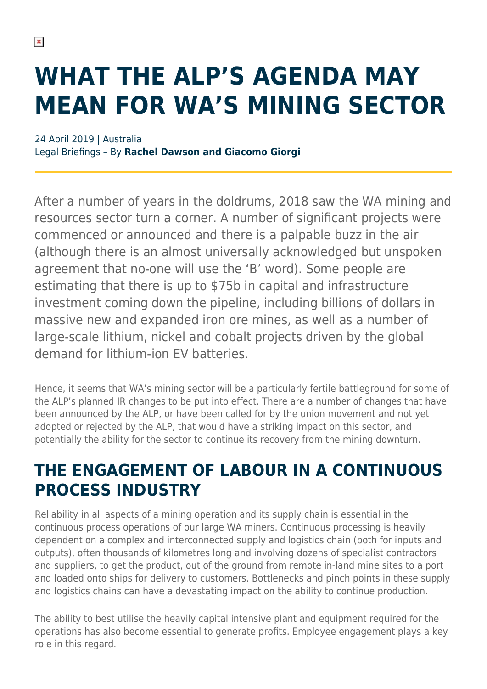# **WHAT THE ALP'S AGENDA MAY MEAN FOR WA'S MINING SECTOR**

24 April 2019 | Australia Legal Briefings – By **Rachel Dawson and Giacomo Giorgi**

After a number of years in the doldrums, 2018 saw the WA mining and resources sector turn a corner. A number of significant projects were commenced or announced and there is a palpable buzz in the air (although there is an almost universally acknowledged but unspoken agreement that no-one will use the 'B' word). Some people are estimating that there is up to \$75b in capital and infrastructure investment coming down the pipeline, including billions of dollars in massive new and expanded iron ore mines, as well as a number of large-scale lithium, nickel and cobalt projects driven by the global demand for lithium-ion EV batteries.

Hence, it seems that WA's mining sector will be a particularly fertile battleground for some of the ALP's planned IR changes to be put into effect. There are a number of changes that have been announced by the ALP, or have been called for by the union movement and not yet adopted or rejected by the ALP, that would have a striking impact on this sector, and potentially the ability for the sector to continue its recovery from the mining downturn.

## **THE ENGAGEMENT OF LABOUR IN A CONTINUOUS PROCESS INDUSTRY**

Reliability in all aspects of a mining operation and its supply chain is essential in the continuous process operations of our large WA miners. Continuous processing is heavily dependent on a complex and interconnected supply and logistics chain (both for inputs and outputs), often thousands of kilometres long and involving dozens of specialist contractors and suppliers, to get the product, out of the ground from remote in-land mine sites to a port and loaded onto ships for delivery to customers. Bottlenecks and pinch points in these supply and logistics chains can have a devastating impact on the ability to continue production.

The ability to best utilise the heavily capital intensive plant and equipment required for the operations has also become essential to generate profits. Employee engagement plays a key role in this regard.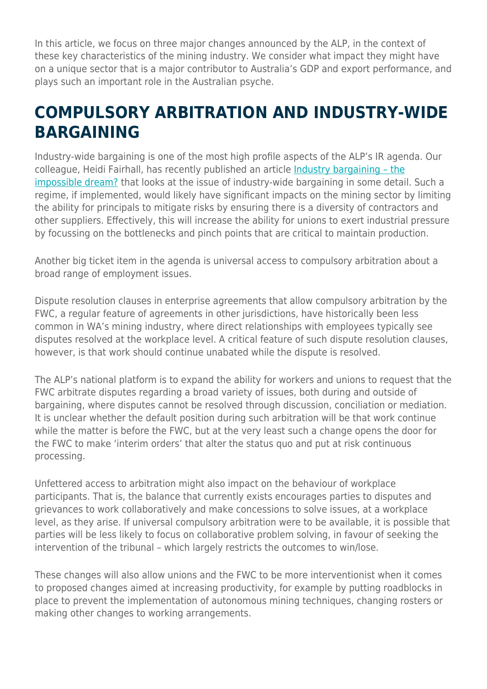In this article, we focus on three major changes announced by the ALP, in the context of these key characteristics of the mining industry. We consider what impact they might have on a unique sector that is a major contributor to Australia's GDP and export performance, and plays such an important role in the Australian psyche.

#### **COMPULSORY ARBITRATION AND INDUSTRY-WIDE BARGAINING**

Industry-wide bargaining is one of the most high profile aspects of the ALP's IR agenda. Our colleague, Heidi Fairhall, has recently published an article [Industry bargaining – the](https://www.herbertsmithfreehills.com/latest-thinking/industry-bargaining-the-impossible-dream) [impossible dream?](https://www.herbertsmithfreehills.com/latest-thinking/industry-bargaining-the-impossible-dream) that looks at the issue of industry-wide bargaining in some detail. Such a regime, if implemented, would likely have significant impacts on the mining sector by limiting the ability for principals to mitigate risks by ensuring there is a diversity of contractors and other suppliers. Effectively, this will increase the ability for unions to exert industrial pressure by focussing on the bottlenecks and pinch points that are critical to maintain production.

Another big ticket item in the agenda is universal access to compulsory arbitration about a broad range of employment issues.

Dispute resolution clauses in enterprise agreements that allow compulsory arbitration by the FWC, a regular feature of agreements in other jurisdictions, have historically been less common in WA's mining industry, where direct relationships with employees typically see disputes resolved at the workplace level. A critical feature of such dispute resolution clauses, however, is that work should continue unabated while the dispute is resolved.

The ALP's national platform is to expand the ability for workers and unions to request that the FWC arbitrate disputes regarding a broad variety of issues, both during and outside of bargaining, where disputes cannot be resolved through discussion, conciliation or mediation. It is unclear whether the default position during such arbitration will be that work continue while the matter is before the FWC, but at the very least such a change opens the door for the FWC to make 'interim orders' that alter the status quo and put at risk continuous processing.

Unfettered access to arbitration might also impact on the behaviour of workplace participants. That is, the balance that currently exists encourages parties to disputes and grievances to work collaboratively and make concessions to solve issues, at a workplace level, as they arise. If universal compulsory arbitration were to be available, it is possible that parties will be less likely to focus on collaborative problem solving, in favour of seeking the intervention of the tribunal – which largely restricts the outcomes to win/lose.

These changes will also allow unions and the FWC to be more interventionist when it comes to proposed changes aimed at increasing productivity, for example by putting roadblocks in place to prevent the implementation of autonomous mining techniques, changing rosters or making other changes to working arrangements.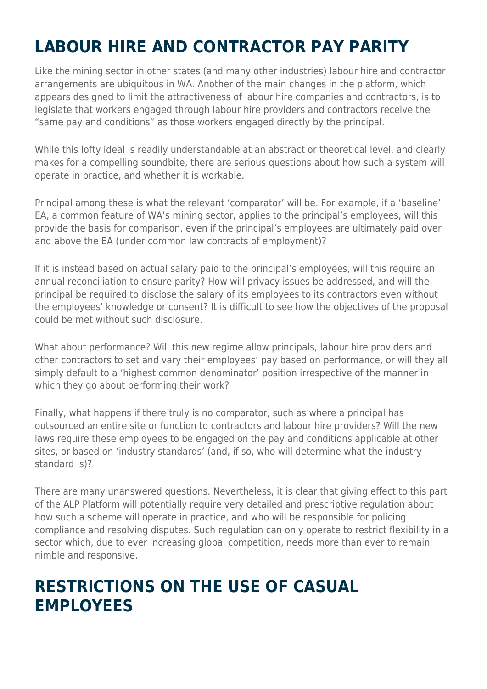# **LABOUR HIRE AND CONTRACTOR PAY PARITY**

Like the mining sector in other states (and many other industries) labour hire and contractor arrangements are ubiquitous in WA. Another of the main changes in the platform, which appears designed to limit the attractiveness of labour hire companies and contractors, is to legislate that workers engaged through labour hire providers and contractors receive the "same pay and conditions" as those workers engaged directly by the principal.

While this lofty ideal is readily understandable at an abstract or theoretical level, and clearly makes for a compelling soundbite, there are serious questions about how such a system will operate in practice, and whether it is workable.

Principal among these is what the relevant 'comparator' will be. For example, if a 'baseline' EA, a common feature of WA's mining sector, applies to the principal's employees, will this provide the basis for comparison, even if the principal's employees are ultimately paid over and above the EA (under common law contracts of employment)?

If it is instead based on actual salary paid to the principal's employees, will this require an annual reconciliation to ensure parity? How will privacy issues be addressed, and will the principal be required to disclose the salary of its employees to its contractors even without the employees' knowledge or consent? It is difficult to see how the objectives of the proposal could be met without such disclosure.

What about performance? Will this new regime allow principals, labour hire providers and other contractors to set and vary their employees' pay based on performance, or will they all simply default to a 'highest common denominator' position irrespective of the manner in which they go about performing their work?

Finally, what happens if there truly is no comparator, such as where a principal has outsourced an entire site or function to contractors and labour hire providers? Will the new laws require these employees to be engaged on the pay and conditions applicable at other sites, or based on 'industry standards' (and, if so, who will determine what the industry standard is)?

There are many unanswered questions. Nevertheless, it is clear that giving effect to this part of the ALP Platform will potentially require very detailed and prescriptive regulation about how such a scheme will operate in practice, and who will be responsible for policing compliance and resolving disputes. Such regulation can only operate to restrict flexibility in a sector which, due to ever increasing global competition, needs more than ever to remain nimble and responsive.

#### **RESTRICTIONS ON THE USE OF CASUAL EMPLOYEES**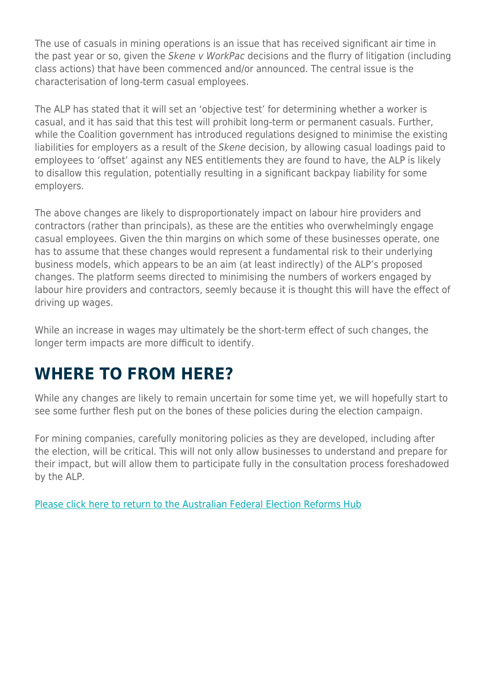The use of casuals in mining operations is an issue that has received significant air time in the past year or so, given the Skene v WorkPac decisions and the flurry of litigation (including class actions) that have been commenced and/or announced. The central issue is the characterisation of long-term casual employees.

The ALP has stated that it will set an 'objective test' for determining whether a worker is casual, and it has said that this test will prohibit long-term or permanent casuals. Further, while the Coalition government has introduced regulations designed to minimise the existing liabilities for employers as a result of the Skene decision, by allowing casual loadings paid to employees to 'offset' against any NES entitlements they are found to have, the ALP is likely to disallow this regulation, potentially resulting in a significant backpay liability for some employers.

The above changes are likely to disproportionately impact on labour hire providers and contractors (rather than principals), as these are the entities who overwhelmingly engage casual employees. Given the thin margins on which some of these businesses operate, one has to assume that these changes would represent a fundamental risk to their underlying business models, which appears to be an aim (at least indirectly) of the ALP's proposed changes. The platform seems directed to minimising the numbers of workers engaged by labour hire providers and contractors, seemly because it is thought this will have the effect of driving up wages.

While an increase in wages may ultimately be the short-term effect of such changes, the longer term impacts are more difficult to identify.

## **WHERE TO FROM HERE?**

While any changes are likely to remain uncertain for some time yet, we will hopefully start to see some further flesh put on the bones of these policies during the election campaign.

For mining companies, carefully monitoring policies as they are developed, including after the election, will be critical. This will not only allow businesses to understand and prepare for their impact, but will allow them to participate fully in the consultation process foreshadowed by the ALP.

[Please click here to return to the Australian Federal Election Reforms Hub](https://www.herbertsmithfreehills.com/latest-thinking/australian-federal-election-reforms)